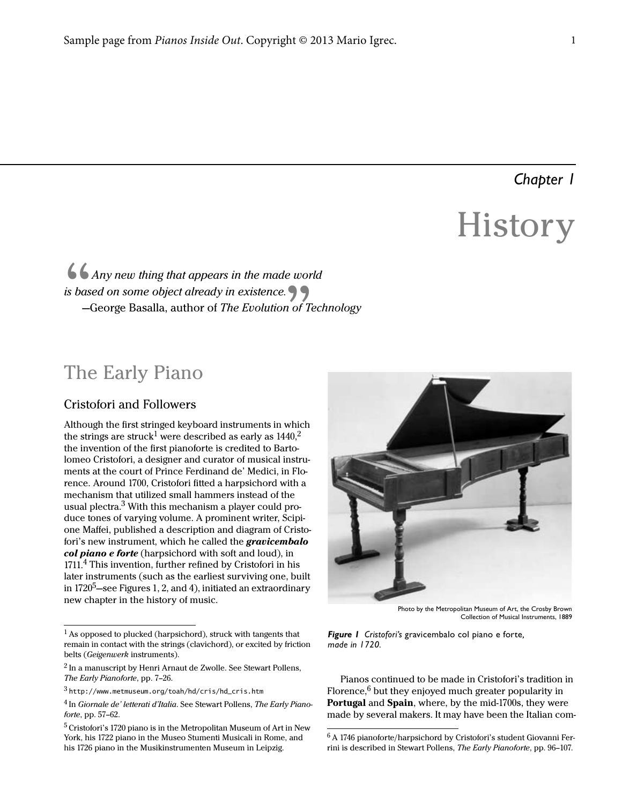## *Chapter 1*

# **History**

### $\begin{array}{c} 66 \ \hline 6 \end{array}$ <br>is based Any new thing that appears in the made world is based on some object already in existence. —George Basalla, author of The Evolution of Technology

## The Early Piano

#### Cristofori and Followers

Although the first stringed keyboard instruments in which the strings are struck<sup>1</sup> were described as early as  $1440$ ,<sup>2</sup> the invention of the first pianoforte is credited to Bartolomeo Cristofori, a designer and curator of musical instruments at the court of Prince Ferdinand de' Medici, in Florence. Around 1700, Cristofori fitted a harpsichord with a mechanism that utilized small hammers instead of the usual plectra. $3$  With this mechanism a player could produce tones of varying volume. A prominent writer, Scipione Maffei, published a description and diagram of Cristofori's new instrument, which he called the *gravicembalo* col piano e forte (harpsichord with soft and loud), in 1711.4 This invention, further refined by Cristofori in his later instruments (such as the earliest surviving one, built in  $1720^5$ —see Figures 1, 2, and [4\)](#page--1-0), initiated an extraordinary new chapter in the history of music.



Photo by the Metropolitan Museum of Art, the Crosby Brown Collection of Musical Instruments, 1889

*Figure 1 Cristofori's* gravicembalo col piano e forte*, made in 1720.*

Pianos continued to be made in Cristofori's tradition in Florence, $6$  but they enjoyed much greater popularity in Portugal and Spain, where, by the mid-1700s, they were made by several makers. It may have been the Italian com-

 $^{\rm l}$  As opposed to plucked (harpsichord), struck with tangents that remain in contact with the strings (clavichord), or excited by friction belts (Geigenwerk instruments).

<sup>&</sup>lt;sup>2</sup> In a manuscript by Henri Arnaut de Zwolle. See Stewart Pollens, The Early Pianoforte, pp. 7–26.

<sup>3</sup>http://www.metmuseum.org/toah/hd/cris/hd\_cris.htm

<sup>&</sup>lt;sup>4</sup> In Giornale de' letterati d'Italia. See Stewart Pollens, The Early Pianoforte, pp. 57–62.

<sup>&</sup>lt;sup>5</sup> Cristofori's 1720 piano is in the Metropolitan Museum of Art in New York, his 1722 piano in the Museo Stumenti Musicali in Rome, and his 1726 piano in the Musikinstrumenten Museum in Leipzig.

<sup>6</sup>A 1746 pianoforte/harpsichord by Cristofori's student Giovanni Ferrini is described in Stewart Pollens, The Early Pianoforte, pp. 96–107.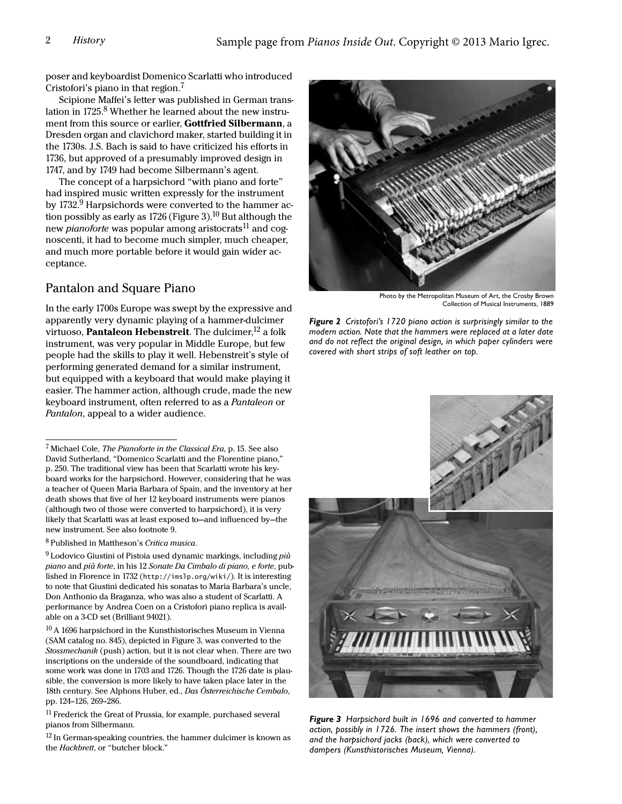poser and keyboardist Domenico Scarlatti who introduced Cristofori's piano in that region.<sup>7</sup>

Scipione Maffei's letter was published in German translation in  $1725.8$  Whether he learned about the new instrument from this source or earlier, Gottfried Silbermann, a Dresden organ and clavichord maker, started building it in the 1730s. J.S. Bach is said to have criticized his efforts in 1736, but approved of a presumably improved design in 1747, and by 1749 had become Silbermann's agent.

The concept of a harpsichord "with piano and forte" had inspired music written expressly for the instrument by 1732. $9$  Harpsichords were converted to the hammer ac-tion possibly as early as 1726 ([Figure 3](#page-1-0)).<sup>10</sup> But although the new *pianoforte* was popular among aristocrats<sup>11</sup> and cognoscenti, it had to become much simpler, much cheaper, and much more portable before it would gain wider acceptance.

#### Pantalon and Square Piano

In the early 1700s Europe was swept by the expressive and apparently very dynamic playing of a hammer-dulcimer virtuoso, **Pantaleon Hebenstreit**. The dulcimer,  $12$  a folk instrument, was very popular in Middle Europe, but few people had the skills to play it well. Hebenstreit's style of performing generated demand for a similar instrument, but equipped with a keyboard that would make playing it easier. The hammer action, although crude, made the new keyboard instrument, often referred to as a Pantaleon or Pantalon, appeal to a wider audience.

8 Published in Mattheson's Critica musica.

<span id="page-1-1"></span> $9$  Lodovico Giustini of Pistoia used dynamic markings, including  $pi\dot{u}$ piano and più forte, in his 12 Sonate Da Cimbalo di piano, e forte, published in Florence in 1732 (http://imslp.org/wiki/). It is interesting to note that Giustini dedicated his sonatas to Maria Barbara's uncle, Don Anthonio da Braganza, who was also a student of Scarlatti. A performance by Andrea Coen on a Cristofori piano replica is available on a 3-CD set (Brilliant 94021).

 $^{10}$  A 1696 harpsichord in the Kunsthistorisches Museum in Vienna (SAM catalog no. 845), depicted in [Figure 3,](#page-1-0) was converted to the Stossmechanik (push) action, but it is not clear when. There are two inscriptions on the underside of the soundboard, indicating that some work was done in 1703 and 1726. Though the 1726 date is plausible, the conversion is more likely to have taken place later in the 18th century. See Alphons Huber, ed., Das Österreichische Cembalo, pp. 124–126, 269–286.

<span id="page-1-0"></span><sup>11</sup> Frederick the Great of Prussia, for example, purchased several pianos from Silbermann.

 $12$  In German-speaking countries, the hammer dulcimer is known as the Hackbrett, or "butcher block."



Photo by the Metropolitan Museum of Art, the Crosby Brown Collection of Musical Instruments, 1889

*Figure 2 Cristofori's 1720 piano action is surprisingly similar to the modern action. Note that the hammers were replaced at a later date and do not reflect the original design, in which paper cylinders were covered with short strips of soft leather on top.*



*Figure 3 Harpsichord built in 1696 and converted to hammer action, possibly in 1726. The insert shows the hammers (front), and the harpsichord jacks (back), which were converted to dampers (Kunsthistorisches Museum, Vienna).*

<sup>7</sup>Michael Cole, The Pianoforte in the Classical Era, p. 15. See also David Sutherland, "Domenico Scarlatti and the Florentine piano," p. 250. The traditional view has been that Scarlatti wrote his keyboard works for the harpsichord. However, considering that he was a teacher of Queen Maria Barbara of Spain, and the inventory at her death shows that five of her 12 keyboard instruments were pianos (although two of those were converted to harpsichord), it is very likely that Scarlatti was at least exposed to—and influenced by—the new instrument. See also footnote [9](#page-1-1).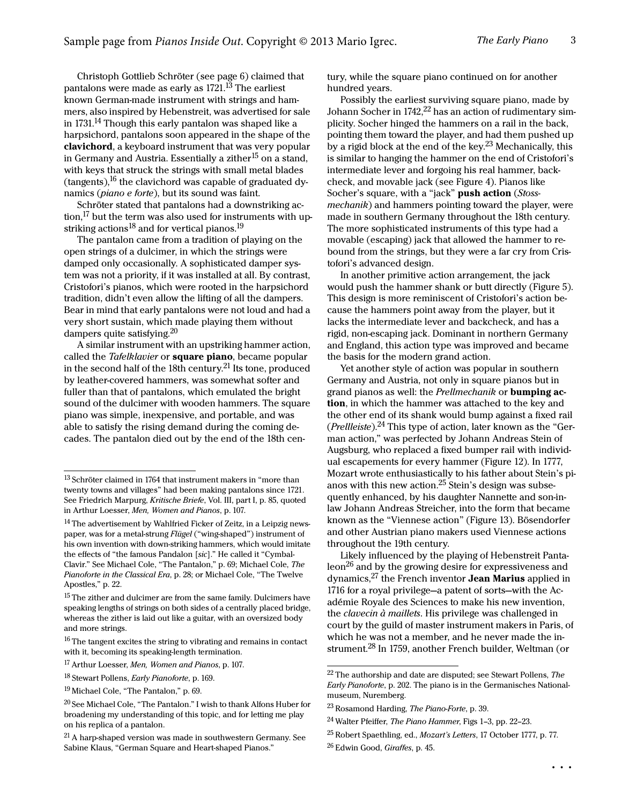Christoph Gottlieb Schröter (see [page 6\)](#page--1-1) claimed that pantalons were made as early as 1721.<sup>13</sup> The earliest known German-made instrument with strings and hammers, also inspired by Hebenstreit, was advertised for sale in 1731.<sup>14</sup> Though this early pantalon was shaped like a harpsichord, pantalons soon appeared in the shape of the clavichord, a keyboard instrument that was very popular in Germany and Austria. Essentially a zither<sup>15</sup> on a stand, with keys that struck the strings with small metal blades (tangents),  $^{16}$  the clavichord was capable of graduated dynamics (piano e forte), but its sound was faint.

Schröter stated that pantalons had a downstriking action, $^{17}$  but the term was also used for instruments with upstriking actions<sup>18</sup> and for vertical pianos.<sup>19</sup>

The pantalon came from a tradition of playing on the open strings of a dulcimer, in which the strings were damped only occasionally. A sophisticated damper system was not a priority, if it was installed at all. By contrast, Cristofori's pianos, which were rooted in the harpsichord tradition, didn't even allow the lifting of all the dampers. Bear in mind that early pantalons were not loud and had a very short sustain, which made playing them without dampers quite satisfying. $20$ 

A similar instrument with an upstriking hammer action, called the Tafelklavier or square piano, became popular in the second half of the 18th century.21 Its tone, produced by leather-covered hammers, was somewhat softer and fuller than that of pantalons, which emulated the bright sound of the dulcimer with wooden hammers. The square piano was simple, inexpensive, and portable, and was able to satisfy the rising demand during the coming decades. The pantalon died out by the end of the 18th century, while the square piano continued on for another hundred years.

Possibly the earliest surviving square piano, made by Johann Socher in  $1742$ ,<sup>22</sup> has an action of rudimentary simplicity. Socher hinged the hammers on a rail in the back, pointing them toward the player, and had them pushed up by a rigid block at the end of the key.<sup>23</sup> Mechanically, this is similar to hanging the hammer on the end of Cristofori's intermediate lever and forgoing his real hammer, backcheck, and movable jack (see [Figure 4\)](#page--1-0). Pianos like Socher's square, with a "jack" push action (Stossmechanik) and hammers pointing toward the player, were made in southern Germany throughout the 18th century. The more sophisticated instruments of this type had a movable (escaping) jack that allowed the hammer to rebound from the strings, but they were a far cry from Cristofori's advanced design.

In another primitive action arrangement, the jack would push the hammer shank or butt directly ([Figure 5](#page--1-2)). This design is more reminiscent of Cristofori's action because the hammers point away from the player, but it lacks the intermediate lever and backcheck, and has a rigid, non-escaping jack. Dominant in northern Germany and England, this action type was improved and became the basis for the modern grand action.

Yet another style of action was popular in southern Germany and Austria, not only in square pianos but in grand pianos as well: the Prellmechanik or **bumping ac**tion, in which the hammer was attached to the key and the other end of its shank would bump against a fixed rail (*Prellleiste*).<sup>24</sup> This type of action, later known as the "German action," was perfected by Johann Andreas Stein of Augsburg, who replaced a fixed bumper rail with individual escapements for every hammer [\(Figure 12](#page--1-3)). In 1777, Mozart wrote enthusiastically to his father about Stein's pianos with this new action.25 Stein's design was subsequently enhanced, by his daughter Nannette and son-inlaw Johann Andreas Streicher, into the form that became known as the "Viennese action" ([Figure 13\)](#page--1-4). Bösendorfer and other Austrian piano makers used Viennese actions throughout the 19th century.

Likely influenced by the playing of Hebenstreit Pantaleon<sup>26</sup> and by the growing desire for expressiveness and dynamics, $27$  the French inventor **Jean Marius** applied in 1716 for a royal privilege—a patent of sorts—with the Académie Royale des Sciences to make his new invention, the clavecin à maillets. His privilege was challenged in court by the guild of master instrument makers in Paris, of which he was not a member, and he never made the instrument.28 In 1759, another French builder, Weltman (or

 $^{13}$  Schröter claimed in 1764 that instrument makers in "more than twenty towns and villages" had been making pantalons since 1721. See Friedrich Marpurg, Kritische Briefe, Vol. III, part I, p. 85, quoted in Arthur Loesser, Men, Women and Pianos, p. 107.

<sup>&</sup>lt;sup>14</sup> The advertisement by Wahlfried Ficker of Zeitz, in a Leipzig newspaper, was for a metal-strung Flügel ("wing-shaped") instrument of his own invention with down-striking hammers, which would imitate the effects of "the famous Pandalon [sic]." He called it "Cymbal-Clavir." See Michael Cole, "The Pantalon," p. 69; Michael Cole, The Pianoforte in the Classical Era, p. 28; or Michael Cole, "The Twelve Apostles," p. 22.

<sup>&</sup>lt;sup>15</sup> The zither and dulcimer are from the same family. Dulcimers have speaking lengths of strings on both sides of a centrally placed bridge, whereas the zither is laid out like a guitar, with an oversized body and more strings.

 $16$  The tangent excites the string to vibrating and remains in contact with it, becoming its speaking-length termination.

<sup>&</sup>lt;sup>17</sup> Arthur Loesser, Men, Women and Pianos, p. 107.

<sup>&</sup>lt;sup>18</sup> Stewart Pollens, *Early Pianoforte*, p. 169.

<sup>19</sup>Michael Cole, "The Pantalon," p. 69.

<sup>&</sup>lt;sup>20</sup> See Michael Cole, "The Pantalon." I wish to thank Alfons Huber for broadening my understanding of this topic, and for letting me play on his replica of a pantalon.

<sup>&</sup>lt;sup>21</sup> A harp-shaped version was made in southwestern Germany. See Sabine Klaus, "German Square and Heart-shaped Pianos."

 $22$  The authorship and date are disputed; see Stewart Pollens, The Early Pianoforte, p. 202. The piano is in the Germanisches Nationalmuseum, Nuremberg.

<sup>&</sup>lt;sup>23</sup> Rosamond Harding, *The Piano-Forte*, p. 39.

<sup>24</sup>Walter Pfeiffer, The Piano Hammer, Figs 1–3, pp. 22–23.

<sup>25</sup>Robert Spaethling, ed., Mozart's Letters, 17 October 1777, p. 77. <sup>26</sup> Edwin Good, Giraffes, p. 45.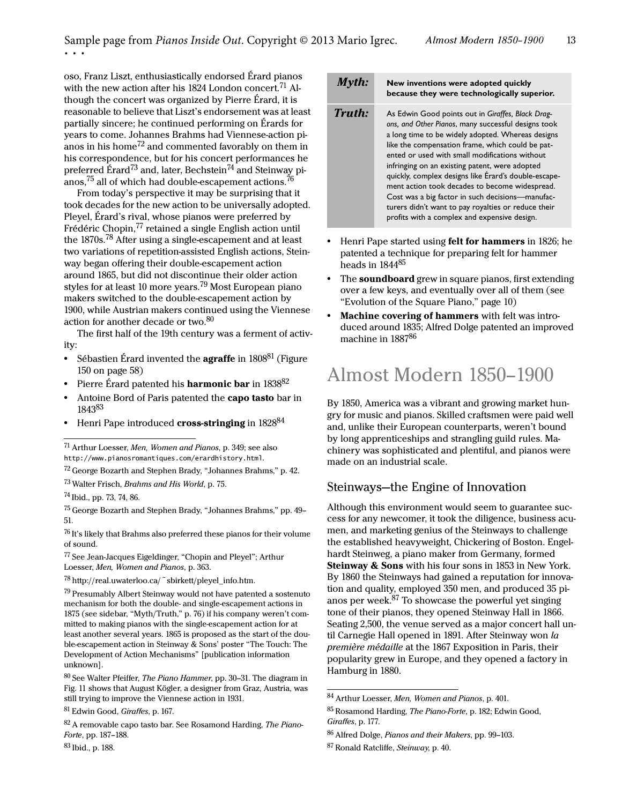oso, Franz Liszt, enthusiastically endorsed Érard pianos with the new action after his 1824 London concert.<sup>71</sup> Although the concert was organized by Pierre Érard, it is reasonable to believe that Liszt's endorsement was at least partially sincere; he continued performing on Érards for years to come. Johannes Brahms had Viennese-action pianos in his home<sup>72</sup> and commented favorably on them in his correspondence, but for his concert performances he preferred Érard<sup>73</sup> and, later, Bechstein<sup>74</sup> and Steinway pianos,  $75$  all of which had double-escapement actions.  $76$ 

From today's perspective it may be surprising that it took decades for the new action to be universally adopted. Pleyel, Érard's rival, whose pianos were preferred by Frédéric Chopin,<sup>77</sup> retained a single English action until the 1870s.78 After using a single-escapement and at least two variations of repetition-assisted English actions, Steinway began offering their double-escapement action around 1865, but did not discontinue their older action styles for at least 10 more years.<sup>79</sup> Most European piano makers switched to the double-escapement action by 1900, while Austrian makers continued using the Viennese action for another decade or two.<sup>80</sup>

The first half of the 19th century was a ferment of activity:

- Sébastien Érard invented the **agraffe** in 1808<sup>81</sup> (Figure 150 on page 58)
- Pierre Érard patented his **harmonic bar** in 1838<sup>82</sup>
- **•** Antoine Bord of Paris patented the capo tasto bar in 1843<sup>83</sup>
- Henri Pape introduced **cross-stringing** in 1828<sup>84</sup>

<sup>74</sup> Ibid., pp. 73, 74, 86.

 $76$  It's likely that Brahms also preferred these pianos for their volume of sound.

<sup>77</sup>See Jean-Jacques Eigeldinger, "Chopin and Pleyel"; Arthur Loesser, Men, Women and Pianos, p. 363.

<sup>78</sup>http://real.uwaterloo.ca/~sbirkett/pleyel\_info.htm.

79 Presumably Albert Steinway would not have patented a sostenuto mechanism for both the double- and single-escapement actions in 1875 (see sidebar, "Myth/Truth," p. 76) if his company weren't committed to making pianos with the single-escapement action for at least another several years. 1865 is proposed as the start of the double-escapement action in Steinway & Sons' poster "The Touch: The Development of Action Mechanisms" [publication information unknown].

80 See Walter Pfeiffer, The Piano Hammer, pp. 30-31. The diagram in Fig. 11 shows that August Kögler, a designer from Graz, Austria, was still trying to improve the Viennese action in 1931.

82 A removable capo tasto bar. See Rosamond Harding, The Piano-Forte, pp. 187–188.

<sup>83</sup>Ibid., p. 188.

|        | New inventions were adopted quickly<br>because they were technologically superior.                                                                                                                                                                                                                                                                                                                                                                                                                                                                                                         |
|--------|--------------------------------------------------------------------------------------------------------------------------------------------------------------------------------------------------------------------------------------------------------------------------------------------------------------------------------------------------------------------------------------------------------------------------------------------------------------------------------------------------------------------------------------------------------------------------------------------|
| Truth: | As Edwin Good points out in Giraffes, Black Drag-<br>ons, and Other Pianos, many successful designs took<br>a long time to be widely adopted. Whereas designs<br>like the compensation frame, which could be pat-<br>ented or used with small modifications without<br>infringing on an existing patent, were adopted<br>quickly, complex designs like Érard's double-escape-<br>ment action took decades to become widespread.<br>Cost was a big factor in such decisions-manufac-<br>turers didn't want to pay royalties or reduce their<br>profits with a complex and expensive design. |

- **•** Henri Pape started using felt for hammers in 1826; he patented a technique for preparing felt for hammer heads in  $1844^{85}$
- **•** The soundboard grew in square pianos, first extending over a few keys, and eventually over all of them (see "Evolution of the Square Piano," page 10)
- **•** Machine covering of hammers with felt was introduced around 1835; Alfred Dolge patented an improved machine in 1887<sup>86</sup>

# Almost Modern 1850–1900

By 1850, America was a vibrant and growing market hungry for music and pianos. Skilled craftsmen were paid well and, unlike their European counterparts, weren't bound by long apprenticeships and strangling guild rules. Machinery was sophisticated and plentiful, and pianos were made on an industrial scale.

#### Steinways—the Engine of Innovation

Although this environment would seem to guarantee success for any newcomer, it took the diligence, business acumen, and marketing genius of the Steinways to challenge the established heavyweight, Chickering of Boston. Engelhardt Steinweg, a piano maker from Germany, formed Steinway & Sons with his four sons in 1853 in New York. By 1860 the Steinways had gained a reputation for innovation and quality, employed 350 men, and produced 35 pianos per week.87 To showcase the powerful yet singing tone of their pianos, they opened Steinway Hall in 1866. Seating 2,500, the venue served as a major concert hall until Carnegie Hall opened in 1891. After Steinway won la première médaille at the 1867 Exposition in Paris, their popularity grew in Europe, and they opened a factory in Hamburg in 1880.

<sup>71</sup>Arthur Loesser, Men, Women and Pianos, p. 349; see also http://www.pianosromantiques.com/erardhistory.html.

<sup>72</sup>George Bozarth and Stephen Brady, "Johannes Brahms," p. 42.

<sup>73</sup>Walter Frisch, Brahms and His World, p. 75.

<sup>75</sup>George Bozarth and Stephen Brady, "Johannes Brahms," pp. 49– 51.

<sup>81</sup> Edwin Good, Giraffes, p. 167.

<sup>84</sup> Arthur Loesser, Men, Women and Pianos, p. 401.

<sup>85</sup> Rosamond Harding, The Piano-Forte, p. 182; Edwin Good, Giraffes, p. 177.

<sup>86</sup> Alfred Dolge, Pianos and their Makers, pp. 99-103.

<sup>87</sup> Ronald Ratcliffe, Steinway, p. 40.